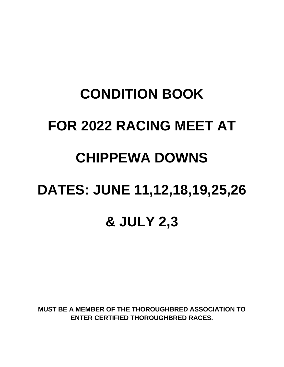## **CONDITION BOOK FOR 2022 RACING MEET AT CHIPPEWA DOWNS DATES: JUNE 11,12,18,19,25,26 & JULY 2,3**

**MUST BE A MEMBER OF THE THOROUGHBRED ASSOCIATION TO ENTER CERTIFIED THOROUGHBRED RACES.**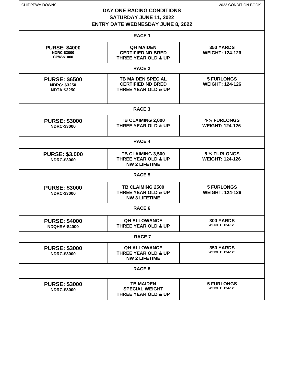| CHIPPEWA DOWNS                                                    | <b>DAY ONE RACING CONDITIONS</b><br>SATURDAY JUNE 11, 2022<br><b>ENTRY DATE WEDNESDAY JUNE 8, 2022</b> | 2022 CONDITION BOOK                         |  |
|-------------------------------------------------------------------|--------------------------------------------------------------------------------------------------------|---------------------------------------------|--|
|                                                                   | <b>RACE 1</b>                                                                                          |                                             |  |
| <b>PURSE: \$4000</b><br><b>NDRC-\$3000</b><br>CPW-\$1000          | <b>QH MAIDEN</b><br><b>CERTIFIED ND BRED</b><br><b>THREE YEAR OLD &amp; UP</b>                         | 350 YARDS<br><b>WEIGHT: 124-126</b>         |  |
|                                                                   | <b>RACE 2</b>                                                                                          |                                             |  |
| <b>PURSE: \$6500</b><br><b>NDRC: \$3250</b><br><b>NDTA:\$3250</b> | <b>TB MAIDEN SPECIAL</b><br><b>CERTIFIED ND BRED</b><br><b>THREE YEAR OLD &amp; UP</b>                 | <b>5 FURLONGS</b><br><b>WEIGHT: 124-126</b> |  |
|                                                                   | <b>RACE 3</b>                                                                                          |                                             |  |
| <b>PURSE: \$3000</b><br><b>NDRC-\$3000</b>                        | TB CLAIMING 2,000<br><b>THREE YEAR OLD &amp; UP</b>                                                    | 4-1/2 FURLONGS<br><b>WEIGHT: 124-126</b>    |  |
|                                                                   | <b>RACE 4</b>                                                                                          |                                             |  |
| <b>PURSE: \$3,000</b><br><b>NDRC-\$3000</b>                       | TB CLAIMING 3,500<br>THREE YEAR OLD & UP<br><b>NW 2 LIFETIME</b>                                       | 5 1/2 FURLONGS<br><b>WEIGHT: 124-126</b>    |  |
|                                                                   | <b>RACE 5</b>                                                                                          |                                             |  |
| <b>PURSE: \$3000</b><br><b>NDRC-\$3000</b>                        | TB CLAIMING 2500<br><b>THREE YEAR OLD &amp; UP</b><br><b>NW 3 LIFETIME</b>                             | <b>5 FURLONGS</b><br><b>WEIGHT: 124-126</b> |  |
|                                                                   | <b>RACE 6</b>                                                                                          |                                             |  |
| <b>PURSE: \$4000</b><br><b>NDQHRA-\$4000</b>                      | <b>QH ALLOWANCE</b><br><b>THREE YEAR OLD &amp; UP</b>                                                  | <b>300 YARDS</b><br><b>WEIGHT: 124-126</b>  |  |
| <b>RACE 7</b>                                                     |                                                                                                        |                                             |  |
| <b>PURSE: \$3000</b><br><b>NDRC-\$3000</b>                        | <b>QH ALLOWANCE</b><br><b>THREE YEAR OLD &amp; UP</b><br><b>NW 2 LIFETIME</b>                          | <b>350 YARDS</b><br><b>WEIGHT: 124-126</b>  |  |
|                                                                   | <b>RACE 8</b>                                                                                          |                                             |  |
| <b>PURSE: \$3000</b><br><b>NDRC-\$3000</b>                        | <b>TB MAIDEN</b><br><b>SPECIAL WEIGHT</b><br><b>THREE YEAR OLD &amp; UP</b>                            | <b>5 FURLONGS</b><br><b>WEIGHT: 124-126</b> |  |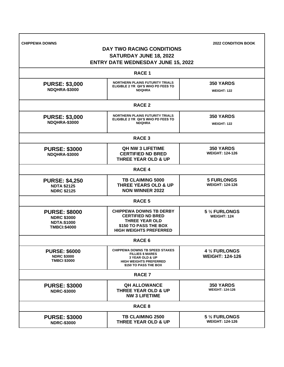| <b>CHIPPEWA DOWNS</b>                                                                   | <b>DAY TWO RACING CONDITIONS</b><br><b>SATURDAY JUNE 18, 2022</b><br><b>ENTRY DATE WEDNESDAY JUNE 15, 2022</b>                                | <b>2022 CONDITION BOOK</b>                  |
|-----------------------------------------------------------------------------------------|-----------------------------------------------------------------------------------------------------------------------------------------------|---------------------------------------------|
|                                                                                         | <b>RACE 1</b>                                                                                                                                 |                                             |
| <b>PURSE: \$3,000</b><br><b>NDQHRA-\$3000</b>                                           | <b>NORTHERN PLAINS FUTURITY TRIALS</b><br>ELIGIBLE 2 YR QH'S WHO PD FEES TO<br><b>NDQHRA</b>                                                  | <b>350 YARDS</b><br><b>WEIGHT: 122</b>      |
|                                                                                         | <b>RACE 2</b>                                                                                                                                 |                                             |
| <b>PURSE: \$3,000</b><br><b>NDQHRA-\$3000</b>                                           | <b>NORTHERN PLAINS FUTURITY TRIALS</b><br>ELIGIBLE 2 YR QH'S WHO PD FEES TO<br><b>NDQHRA</b>                                                  | <b>350 YARDS</b><br><b>WEIGHT: 122</b>      |
|                                                                                         | <b>RACE 3</b>                                                                                                                                 |                                             |
| <b>PURSE: \$3000</b><br><b>NDQHRA-\$3000</b>                                            | <b>QH NW 3 LIFETIME</b><br><b>CERTIFIED ND BRED</b><br><b>THREE YEAR OLD &amp; UP</b>                                                         | <b>350 YARDS</b><br><b>WEIGHT: 124-126</b>  |
|                                                                                         | <b>RACE 4</b>                                                                                                                                 |                                             |
| <b>PURSE: \$4,250</b><br><b>NDTA \$2125</b><br><b>NDRC \$2125</b>                       | <b>TB CLAIMING 5000</b><br><b>THREE YEARS OLD &amp; UP</b><br><b>NON WINNER 2022</b>                                                          | <b>5 FURLONGS</b><br><b>WEIGHT: 124-126</b> |
|                                                                                         | RACE <sub>5</sub>                                                                                                                             |                                             |
| <b>PURSE: \$8000</b><br><b>NDRC \$3000</b><br><b>NDTA:\$1000</b><br><b>TMBCI:\$4000</b> | <b>CHIPPEWA DOWNS TB DERBY</b><br><b>CERTIFIED ND BRED</b><br><b>THREE YEAR OLD</b><br>\$150 TO PASS THE BOX<br><b>HIGH WEIGHTS PREFERRED</b> | 5 1/2 FURLONGS<br><b>WEIGHT: 124</b>        |
|                                                                                         | RACE 6                                                                                                                                        |                                             |
| <b>PURSE: \$6000</b><br><b>NDRC \$3000</b><br><b>TMBCI \$3000</b>                       | <b>CHIPPEWA DOWNS TB SPEED STAKES</b><br><b>FILLIES \$ MARES</b><br>3 YEAR OLD & UP<br><b>HIGH WEIGHTS PREFERRED</b><br>\$150 TO PASS THE BOX | 4 1/2 FURLONGS<br><b>WEIGHT: 124-126</b>    |
|                                                                                         | <b>RACE 7</b>                                                                                                                                 |                                             |
| <b>PURSE: \$3000</b><br><b>NDRC-\$3000</b>                                              | <b>QH ALLOWANCE</b><br><b>THREE YEAR OLD &amp; UP</b><br><b>NW 3 LIFETIME</b>                                                                 | <b>350 YARDS</b><br><b>WEIGHT: 124-126</b>  |
|                                                                                         | <b>RACE 8</b>                                                                                                                                 |                                             |
| <b>PURSE: \$3000</b><br><b>NDRC-\$3000</b>                                              | <b>TB CLAIMING 2500</b><br><b>THREE YEAR OLD &amp; UP</b>                                                                                     | 5 1/2 FURLONGS<br><b>WEIGHT: 124-126</b>    |

Г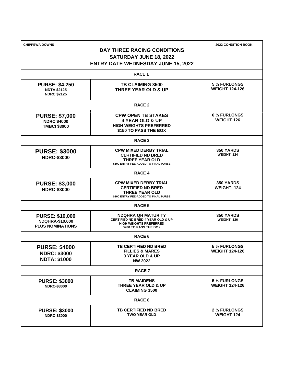| <b>CHIPPEWA DOWNS</b>                                                       | <b>DAY THREE RACING CONDITIONS</b><br>SATURDAY JUNE 18, 2022<br><b>ENTRY DATE WEDNESDAY JUNE 15, 2022</b>                 | <b>2022 CONDITION BOOK</b>              |
|-----------------------------------------------------------------------------|---------------------------------------------------------------------------------------------------------------------------|-----------------------------------------|
|                                                                             | <b>RACE 1</b>                                                                                                             |                                         |
| <b>PURSE: \$4,250</b><br><b>NDTA \$2125</b><br><b>NDRC \$2125</b>           | TB CLAIMING 3500<br><b>THREE YEAR OLD &amp; UP</b>                                                                        | 5 1/2 FURLONGS<br><b>WEIGHT 124-126</b> |
|                                                                             | <b>RACE 2</b>                                                                                                             |                                         |
| <b>PURSE: \$7,000</b><br><b>NDRC \$4000</b><br><b>TMBCI \$3000</b>          | <b>CPW OPEN TB STAKES</b><br><b>4 YEAR OLD &amp; UP</b><br><b>HIGH WEIGHTS PREFERRED</b><br>\$150 TO PASS THE BOX         | 6 1/2 FURLONGS<br><b>WEIGHT 126</b>     |
|                                                                             | <b>RACE 3</b>                                                                                                             |                                         |
| <b>PURSE: \$3000</b><br><b>NDRC-\$3000</b>                                  | <b>CPW MIXED DERBY TRIAL</b><br><b>CERTIFIED ND BRED</b><br><b>THREE YEAR OLD</b><br>\$100 ENTRY FEE-ADDED TO FINAL PURSE | <b>350 YARDS</b><br><b>WEIGHT: 124</b>  |
|                                                                             | <b>RACE 4</b>                                                                                                             |                                         |
| <b>PURSE: \$3,000</b><br><b>NDRC-\$3000</b>                                 | <b>CPW MIXED DERBY TRIAL</b><br><b>CERTIFIED ND BRED</b><br><b>THREE YEAR OLD</b><br>\$100 ENTRY FEE-ADDED TO FINAL PURSE | <b>350 YARDS</b><br><b>WEIGHT: 124</b>  |
|                                                                             | RACE 5                                                                                                                    |                                         |
| <b>PURSE: \$10,000</b><br><b>NDQHRA-\$10,000</b><br><b>PLUS NOMINATIONS</b> | <b>NDQHRA QH MATURITY</b><br>CERTIFIED ND BRED-4 YEAR OLD & UP<br><b>HIGH WEIGHTS PREFERRED</b><br>\$200 TO PASS THE BOX  | <b>350 YARDS</b><br>WEIGHT: 126         |
|                                                                             | RACE 6                                                                                                                    |                                         |
| <b>PURSE: \$4000</b><br><b>NDRC: \$3000</b><br><b>NDTA: \$1000</b>          | <b>TB CERTIFIED ND BRED</b><br><b>FILLIES &amp; MARES</b><br><b>3 YEAR OLD &amp; UP</b><br><b>NW 2022</b>                 | 5 1/2 FURLONGS<br><b>WEIGHT 124-126</b> |
|                                                                             | <b>RACE 7</b>                                                                                                             |                                         |
| <b>PURSE: \$3000</b><br><b>NDRC-\$3000</b>                                  | <b>TB MAIDENS</b><br>THREE YEAR OLD & UP<br><b>CLAIMING 3500</b>                                                          | 5 1/2 FURLONGS<br><b>WEIGHT 124-126</b> |
|                                                                             | <b>RACE 8</b>                                                                                                             |                                         |
| <b>PURSE: \$3000</b><br><b>NDRC-\$3000</b>                                  | <b>TB CERTIFIED ND BRED</b><br><b>TWO YEAR OLD</b>                                                                        | 2 1/2 FURLONGS<br><b>WEIGHT 124</b>     |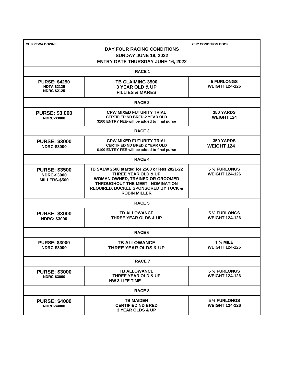| <b>CHIPPEWA DOWNS</b>                                            | DAY FOUR RACING CONDITIONS<br><b>SUNDAY JUNE 19, 2022</b><br><b>ENTRY DATE THURSDAY JUNE 16, 2022</b>                                                                                                                           | <b>2022 CONDITION BOOK</b>                 |  |
|------------------------------------------------------------------|---------------------------------------------------------------------------------------------------------------------------------------------------------------------------------------------------------------------------------|--------------------------------------------|--|
|                                                                  | <b>RACE 1</b>                                                                                                                                                                                                                   |                                            |  |
| <b>PURSE: \$4250</b><br><b>NDTA \$2125</b><br><b>NDRC \$2125</b> | <b>TB CLAIMING 3500</b><br><b>3 YEAR OLD &amp; UP</b><br><b>FILLIES &amp; MARES</b>                                                                                                                                             | <b>5 FURLONGS</b><br><b>WEIGHT 124-126</b> |  |
|                                                                  | <b>RACE 2</b>                                                                                                                                                                                                                   |                                            |  |
| <b>PURSE: \$3,000</b><br><b>NDRC-\$3000</b>                      | <b>CPW MIXED FUTURITY TRIAL</b><br><b>CERTIFIED ND BRED-2 YEAR OLD</b><br>\$100 ENTRY FEE-will be added to final purse                                                                                                          | <b>350 YARDS</b><br><b>WEIGHT 124</b>      |  |
| <b>RACE 3</b>                                                    |                                                                                                                                                                                                                                 |                                            |  |
| <b>PURSE: \$3000</b><br><b>NDRC-\$3000</b>                       | <b>CPW MIXED FUTURITY TRIAL</b><br><b>CERTIFIED ND BRED 2 YEAR OLD</b><br>\$100 ENTRY FEE-will be added to final purse                                                                                                          | 350 YARDS<br><b>WEIGHT 124</b>             |  |
| <b>RACE 4</b>                                                    |                                                                                                                                                                                                                                 |                                            |  |
| <b>PURSE: \$3500</b><br><b>NDRC-\$3000</b><br>MILLERS-\$500      | TB SALW 2500 started for 2500 or less 2021-22<br><b>THREE YEAR OLD &amp; UP</b><br>WOMAN OWNED, TRAINED OR GROOMED<br>THROUGHOUT THE MEET. NOMINATION<br><b>REQUIRED. BUCKLE SPONSORED BY TUCK &amp;</b><br><b>ROBIN MILLER</b> | 5 1/2 FURLONGS<br><b>WEIGHT 124-126</b>    |  |
| RACE 5                                                           |                                                                                                                                                                                                                                 |                                            |  |
| <b>PURSE: \$3000</b><br><b>NDRC: \$3000</b>                      | <b>TB ALLOWANCE</b><br><b>THREE YEAR OLDS &amp; UP</b>                                                                                                                                                                          | 5 1/2 FURLONGS<br><b>WEIGHT 124-126</b>    |  |
| RACE <sub>6</sub>                                                |                                                                                                                                                                                                                                 |                                            |  |
| <b>PURSE: \$3000</b><br><b>NDRC-\$3000</b>                       | <b>TB ALLOWANCE</b><br><b>THREE YEAR OLDS &amp; UP</b>                                                                                                                                                                          | $1\%$ MILE<br><b>WEIGHT 124-126</b>        |  |
| <b>RACE 7</b>                                                    |                                                                                                                                                                                                                                 |                                            |  |
| <b>PURSE: \$3000</b><br><b>NDRC-\$3000</b>                       | <b>TB ALLOWANCE</b><br>THREE YEAR OLD & UP<br><b>NW 3 LIFE TIME</b>                                                                                                                                                             | 6 1/2 FURLONGS<br><b>WEIGHT 124-126</b>    |  |
| RACE <sub>8</sub>                                                |                                                                                                                                                                                                                                 |                                            |  |
| <b>PURSE: \$4000</b><br><b>NDRC-\$4000</b>                       | <b>TB MAIDEN</b><br><b>CERTIFIED ND BRED</b><br><b>3 YEAR OLDS &amp; UP</b>                                                                                                                                                     | 5 1/2 FURLONGS<br><b>WEIGHT 124-126</b>    |  |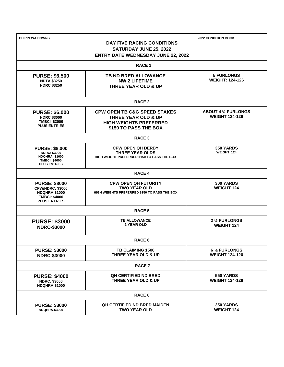| <b>CHIPPEWA DOWNS</b>                                               |                                                                       | <b>2022 CONDITION BOOK</b>  |  |  |
|---------------------------------------------------------------------|-----------------------------------------------------------------------|-----------------------------|--|--|
| DAY FIVE RACING CONDITIONS                                          |                                                                       |                             |  |  |
| SATURDAY JUNE 25, 2022<br><b>ENTRY DATE WEDNESDAY JUNE 22, 2022</b> |                                                                       |                             |  |  |
|                                                                     |                                                                       |                             |  |  |
|                                                                     | <b>RACE 1</b>                                                         |                             |  |  |
| <b>PURSE: \$6,500</b>                                               | <b>TB ND BRED ALLOWANCE</b>                                           | <b>5 FURLONGS</b>           |  |  |
| <b>NDTA \$3250</b>                                                  | <b>NW 2 LIFETIME</b>                                                  | <b>WEIGHT: 124-126</b>      |  |  |
| <b>NDRC \$3250</b>                                                  | <b>THREE YEAR OLD &amp; UP</b>                                        |                             |  |  |
|                                                                     | <b>RACE 2</b>                                                         |                             |  |  |
| <b>PURSE: \$6,000</b>                                               | <b>CPW OPEN TB C&amp;G SPEED STAKES</b>                               | <b>ABOUT 4 1/2 FURLONGS</b> |  |  |
| <b>NDRC \$3000</b>                                                  | <b>THREE YEAR OLD &amp; UP</b>                                        | <b>WEIGHT 124-126</b>       |  |  |
| <b>TMBCI \$3000</b><br><b>PLUS ENTRIES</b>                          | <b>HIGH WEIGHTS PREFERRED</b>                                         |                             |  |  |
|                                                                     | \$150 TO PASS THE BOX                                                 |                             |  |  |
|                                                                     | <b>RACE 3</b>                                                         |                             |  |  |
| <b>PURSE: \$8,000</b>                                               | <b>CPW OPEN QH DERBY</b>                                              | 350 YARDS                   |  |  |
| <b>NDRC: \$3000</b><br><b>NDQHRA: \$1000</b>                        | <b>THREE YEAR OLDS</b><br>HIGH WEIGHT PREFERRED \$150 TO PASS THE BOX | WEIGHT 124                  |  |  |
| <b>TMBCI: \$4000</b>                                                |                                                                       |                             |  |  |
| <b>PLUS ENTRIES</b>                                                 |                                                                       |                             |  |  |
|                                                                     | <b>RACE 4</b>                                                         |                             |  |  |
| <b>PURSE: \$8000</b>                                                | <b>CPW OPEN QH FUTURITY</b>                                           | <b>300 YARDS</b>            |  |  |
| <b>CPW/NDRC: \$3000</b><br><b>NDQHRA:\$1000</b>                     | <b>TWO YEAR OLD</b><br>HIGH WEIGHTS PREFERRED \$150 TO PASS THE BOX   | <b>WEIGHT 124</b>           |  |  |
| <b>TMBCI: \$4000</b>                                                |                                                                       |                             |  |  |
| <b>PLUS ENTRIES</b>                                                 |                                                                       |                             |  |  |
|                                                                     | RACE <sub>5</sub>                                                     |                             |  |  |
| <b>PURSE: \$3000</b>                                                | <b>TB ALLOWANCE</b>                                                   | 2 1/2 FURLONGS              |  |  |
| <b>NDRC-\$3000</b>                                                  | 2 YEAR OLD                                                            | <b>WEIGHT 124</b>           |  |  |
|                                                                     | RACE 6                                                                |                             |  |  |
| <b>PURSE: \$3000</b>                                                | TB CLAIMING 1500                                                      | 6 1/2 FURLONGS              |  |  |
| <b>NDRC-\$3000</b>                                                  | THREE YEAR OLD & UP                                                   | <b>WEIGHT 124-126</b>       |  |  |
|                                                                     | <b>RACE 7</b>                                                         |                             |  |  |
| <b>PURSE: \$4000</b>                                                | <b>QH CERTIFIED ND BRED</b>                                           | 550 YARDS                   |  |  |
| <b>NDRC: \$3000</b>                                                 | THREE YEAR OLD & UP                                                   | <b>WEIGHT 124-126</b>       |  |  |
| <b>NDQHRA:\$1000</b>                                                |                                                                       |                             |  |  |
|                                                                     | <b>RACE 8</b>                                                         |                             |  |  |
| <b>PURSE: \$3000</b>                                                | <b>QH CERTIFIED ND BRED MAIDEN</b>                                    | 350 YARDS                   |  |  |
| NDQHRA-\$3000                                                       | <b>TWO YEAR OLD</b>                                                   | <b>WEIGHT 124</b>           |  |  |
|                                                                     |                                                                       |                             |  |  |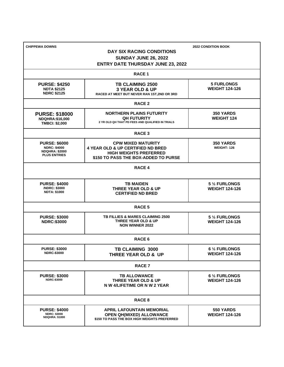| <b>CHIPPEWA DOWNS</b>                        |                                                            | <b>2022 CONDITION BOOK</b> |  |
|----------------------------------------------|------------------------------------------------------------|----------------------------|--|
|                                              | DAY SIX RACING CONDITIONS                                  |                            |  |
|                                              | <b>SUNDAY JUNE 26, 2022</b>                                |                            |  |
|                                              | <b>ENTRY DATE THURSDAY JUNE 23, 2022</b>                   |                            |  |
|                                              | <b>RACE 1</b>                                              |                            |  |
| <b>PURSE: \$4250</b>                         | <b>TB CLAIMING 2500</b>                                    | <b>5 FURLONGS</b>          |  |
| <b>NDTA \$2125</b>                           | <b>3 YEAR OLD &amp; UP</b>                                 | <b>WEIGHT 124-126</b>      |  |
| <b>NDRC \$2125</b>                           | RACED AT MEET BUT NEVER RAN 1ST, 2ND OR 3RD                |                            |  |
|                                              | <b>RACE 2</b>                                              |                            |  |
| <b>PURSE: \$18000</b>                        | <b>NORTHERN PLAINS FUTURITY</b>                            | <b>350 YARDS</b>           |  |
| <b>NDQHRA:\$16,000</b>                       | <b>QH FUTURITY</b>                                         | <b>WEIGHT 124</b>          |  |
| <b>TMBCI: \$2,000</b>                        | 2 YR OLD QH THAT PD FEES AND QUALIFIED IN TRIALS           |                            |  |
|                                              | <b>RACE 3</b>                                              |                            |  |
| <b>PURSE: \$6000</b>                         | <b>CPW MIXED MATURITY</b>                                  | 350 YARDS                  |  |
| <b>NDRC: \$4000</b>                          | <b>4 YEAR OLD &amp; UP CERTIFIED ND BRED</b>               | <b>WEIGHT: 126</b>         |  |
| <b>NDQHRA: \$2000</b><br><b>PLUS ENTRIES</b> | <b>HIGH WEIGHTS PREFERRED</b>                              |                            |  |
|                                              | \$150 TO PASS THE BOX-ADDED TO PURSE                       |                            |  |
|                                              | <b>RACE 4</b>                                              |                            |  |
|                                              |                                                            |                            |  |
| <b>PURSE: \$4000</b><br>/NDRC: \$3000        | <b>TB MAIDEN</b>                                           | 5 1/2 FURLONGS             |  |
| <b>NDTA: \$1000</b>                          | <b>THREE YEAR OLD &amp; UP</b><br><b>CERTIFIED ND BRED</b> | <b>WEIGHT 124-126</b>      |  |
|                                              |                                                            |                            |  |
| <b>RACE 5</b>                                |                                                            |                            |  |
| <b>PURSE: \$3000</b>                         | <b>TB FILLIES &amp; MARES CLAIMING 2500</b>                | 5 1/2 FURLONGS             |  |
| <b>NDRC:\$3000</b>                           | <b>THREE YEAR OLD &amp; UP</b>                             | <b>WEIGHT 124-126</b>      |  |
|                                              | <b>NON WINNER 2022</b>                                     |                            |  |
| RACE 6                                       |                                                            |                            |  |
| <b>PURSE: \$3000</b>                         | TB CLAIMING 3000                                           | 6 1/2 FURLONGS             |  |
| <b>NDRC-\$3000</b>                           | <b>THREE YEAR OLD &amp; UP</b>                             | <b>WEIGHT 124-126</b>      |  |
|                                              |                                                            |                            |  |
| <b>RACE 7</b>                                |                                                            |                            |  |
| <b>PURSE: \$3000</b>                         | <b>TB ALLOWANCE</b>                                        | 6 1/2 FURLONGS             |  |
| <b>NDRC-\$3000</b>                           | THREE YEAR OLD & UP                                        | <b>WEIGHT 124-126</b>      |  |
|                                              | N W 4/LIFETIME OR N W 2 YEAR                               |                            |  |
|                                              | <b>RACE 8</b>                                              |                            |  |
| <b>PURSE: \$4000</b>                         | <b>APRIL LAFOUNTAIN MEMORIAL</b>                           | 550 YARDS                  |  |
| <b>NDRC: \$3000</b><br><b>NDQHRA: \$1000</b> | <b>OPEN QH(MIXED) ALLOWANCE</b>                            | <b>WEIGHT 124-126</b>      |  |
|                                              | \$150 TO PASS THE BOX HIGH WEIGHTS PREFERRED               |                            |  |
|                                              |                                                            |                            |  |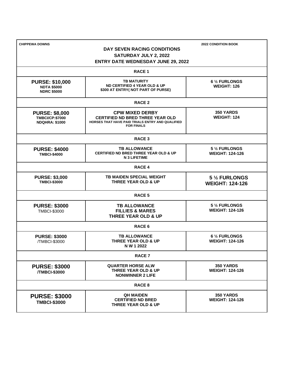| <b>CHIPPEWA DOWNS</b><br><b>2022 CONDITION BOOK</b><br>DAY SEVEN RACING CONDITIONS<br>SATURDAY JULY 2, 2022<br><b>ENTRY DATE WEDNESDAY JUNE 29, 2022</b> |                                                                                                                                            |                                            |
|----------------------------------------------------------------------------------------------------------------------------------------------------------|--------------------------------------------------------------------------------------------------------------------------------------------|--------------------------------------------|
|                                                                                                                                                          | <b>RACE 1</b>                                                                                                                              |                                            |
| <b>PURSE: \$10,000</b><br><b>NDTA \$5000</b><br><b>NDRC \$5000</b>                                                                                       | <b>TB MATURITY</b><br>ND CERTIFIED 4 YEAR OLD & UP<br>\$300 AT ENTRY( NOT PART OF PURSE)                                                   | 6 1/2 FURLONGS<br><b>WEIGHT: 126</b>       |
|                                                                                                                                                          | <b>RACE 2</b>                                                                                                                              |                                            |
| <b>PURSE: \$8,000</b><br><b>TMBCI/CP:\$7000</b><br><b>NDQHRA: \$1000</b>                                                                                 | <b>CPW MIXED DERBY</b><br><b>CERTIFIED ND BRED THREE YEAR OLD</b><br>HORSES THAT HAVE PAID TRIALS ENTRY AND QUALIFIED<br><b>FOR FINALS</b> | <b>350 YARDS</b><br><b>WEIGHT: 124</b>     |
|                                                                                                                                                          | <b>RACE 3</b>                                                                                                                              |                                            |
| <b>PURSE: \$4000</b><br><b>TMBCI-\$4000</b>                                                                                                              | <b>TB ALLOWANCE</b><br><b>CERTIFIED ND BRED THREE YEAR OLD &amp; UP</b><br><b>N 3 LIFETIME</b>                                             | 5 1/2 FURLONGS<br><b>WEIGHT: 124-126</b>   |
|                                                                                                                                                          | <b>RACE 4</b>                                                                                                                              |                                            |
| <b>PURSE: \$3,000</b><br><b>TMBCI-\$3000</b>                                                                                                             | <b>TB MAIDEN SPECIAL WEIGHT</b><br>THREE YEAR OLD & UP                                                                                     | 5 1/2 FURLONGS<br><b>WEIGHT: 124-126</b>   |
|                                                                                                                                                          | <b>RACE 5</b>                                                                                                                              |                                            |
| <b>PURSE: \$3000</b><br><b>TMBCI-\$3000</b>                                                                                                              | <b>TB ALLOWANCE</b><br><b>FILLIES &amp; MARES</b><br><b>THREE YEAR OLD &amp; UP</b>                                                        | 5 1/2 FURLONGS<br><b>WEIGHT: 124-126</b>   |
|                                                                                                                                                          | RACE <sub>6</sub>                                                                                                                          |                                            |
| <b>PURSE: \$3000</b><br>/TMBCI-\$3000                                                                                                                    | <b>TB ALLOWANCE</b><br><b>THREE YEAR OLD &amp; UP</b><br>N W 1 2022                                                                        | 6 1/2 FURLONGS<br><b>WEIGHT: 124-126</b>   |
|                                                                                                                                                          | <b>RACE 7</b>                                                                                                                              |                                            |
| <b>PURSE: \$3000</b><br>/TMBCI-\$3000                                                                                                                    | <b>QUARTER HORSE ALW</b><br><b>THREE YEAR OLD &amp; UP</b><br><b>NONWINNER 2 LIFE</b>                                                      | 350 YARDS<br><b>WEIGHT: 124-126</b>        |
|                                                                                                                                                          | <b>RACE 8</b>                                                                                                                              |                                            |
| <b>PURSE: \$3000</b><br><b>TMBCI-\$3000</b>                                                                                                              | <b>QH MAIDEN</b><br><b>CERTIFIED ND BRED</b><br>THREE YEAR OLD & UP                                                                        | <b>350 YARDS</b><br><b>WEIGHT: 124-126</b> |